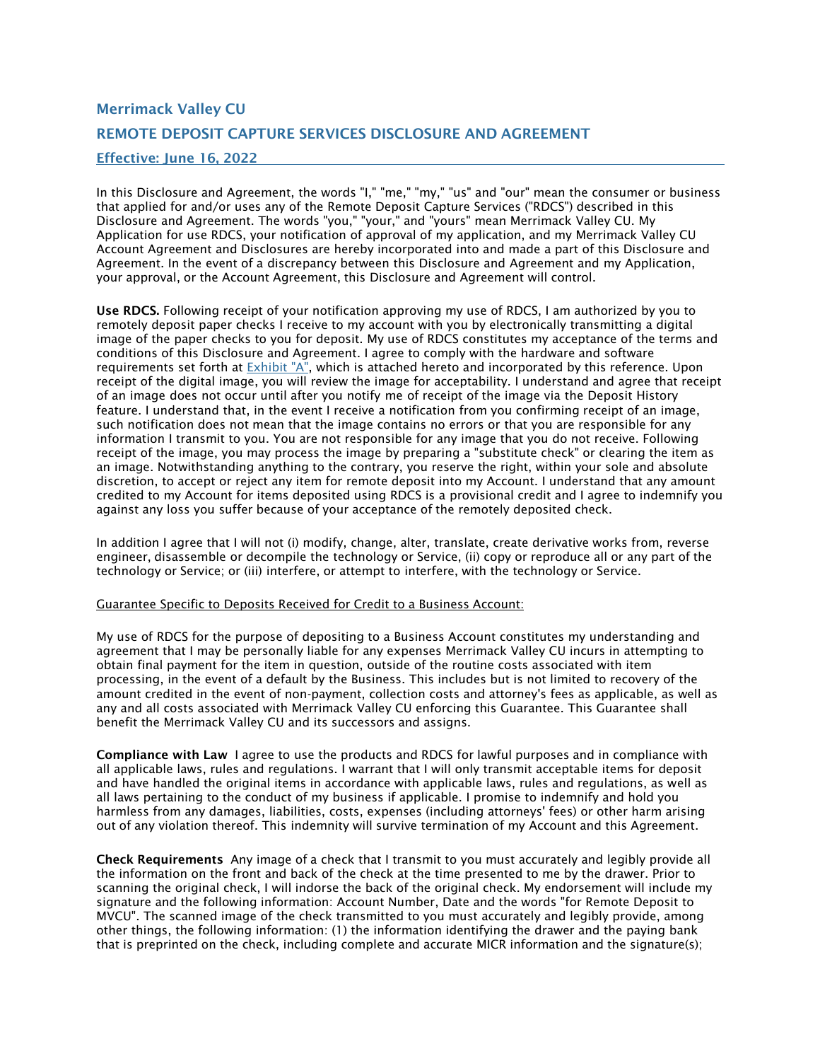# Merrimack Valley CU REMOTE DEPOSIT CAPTURE SERVICES DISCLOSURE AND AGREEMENT Effective: June 16, 2022

In this Disclosure and Agreement, the words "I," "me," "my," "us" and "our" mean the consumer or business that applied for and/or uses any of the Remote Deposit Capture Services ("RDCS") described in this Disclosure and Agreement. The words "you," "your," and "yours" mean Merrimack Valley CU. My Application for use RDCS, your notification of approval of my application, and my Merrimack Valley CU Account Agreement and Disclosures are hereby incorporated into and made a part of this Disclosure and Agreement. In the event of a discrepancy between this Disclosure and Agreement and my Application, your approval, or the Account Agreement, this Disclosure and Agreement will control.

Use RDCS. Following receipt of your notification approving my use of RDCS, I am authorized by you to remotely deposit paper checks I receive to my account with you by electronically transmitting a digital image of the paper checks to you for deposit. My use of RDCS constitutes my acceptance of the terms and conditions of this Disclosure and Agreement. I agree to comply with the hardware and software requirements set forth at  $Exhibit "A"$ , which is attached hereto and incorporated by this reference. Upon receipt of the digital image, you will review the image for acceptability. I understand and agree that receipt of an image does not occur until after you notify me of receipt of the image via the Deposit History feature. I understand that, in the event I receive a notification from you confirming receipt of an image, such notification does not mean that the image contains no errors or that you are responsible for any information I transmit to you. You are not responsible for any image that you do not receive. Following receipt of the image, you may process the image by preparing a "substitute check" or clearing the item as an image. Notwithstanding anything to the contrary, you reserve the right, within your sole and absolute discretion, to accept or reject any item for remote deposit into my Account. I understand that any amount credited to my Account for items deposited using RDCS is a provisional credit and I agree to indemnify you against any loss you suffer because of your acceptance of the remotely deposited check.

In addition I agree that I will not (i) modify, change, alter, translate, create derivative works from, reverse engineer, disassemble or decompile the technology or Service, (ii) copy or reproduce all or any part of the technology or Service; or (iii) interfere, or attempt to interfere, with the technology or Service.

### Guarantee Specific to Deposits Received for Credit to a Business Account:

My use of RDCS for the purpose of depositing to a Business Account constitutes my understanding and agreement that I may be personally liable for any expenses Merrimack Valley CU incurs in attempting to obtain final payment for the item in question, outside of the routine costs associated with item processing, in the event of a default by the Business. This includes but is not limited to recovery of the amount credited in the event of non-payment, collection costs and attorney's fees as applicable, as well as any and all costs associated with Merrimack Valley CU enforcing this Guarantee. This Guarantee shall benefit the Merrimack Valley CU and its successors and assigns.

Compliance with Law I agree to use the products and RDCS for lawful purposes and in compliance with all applicable laws, rules and regulations. I warrant that I will only transmit acceptable items for deposit and have handled the original items in accordance with applicable laws, rules and regulations, as well as all laws pertaining to the conduct of my business if applicable. I promise to indemnify and hold you harmless from any damages, liabilities, costs, expenses (including attorneys' fees) or other harm arising out of any violation thereof. This indemnity will survive termination of my Account and this Agreement.

Check Requirements Any image of a check that I transmit to you must accurately and legibly provide all the information on the front and back of the check at the time presented to me by the drawer. Prior to scanning the original check, I will indorse the back of the original check. My endorsement will include my signature and the following information: Account Number, Date and the words "for Remote Deposit to MVCU". The scanned image of the check transmitted to you must accurately and legibly provide, among other things, the following information: (1) the information identifying the drawer and the paying bank that is preprinted on the check, including complete and accurate MICR information and the signature(s);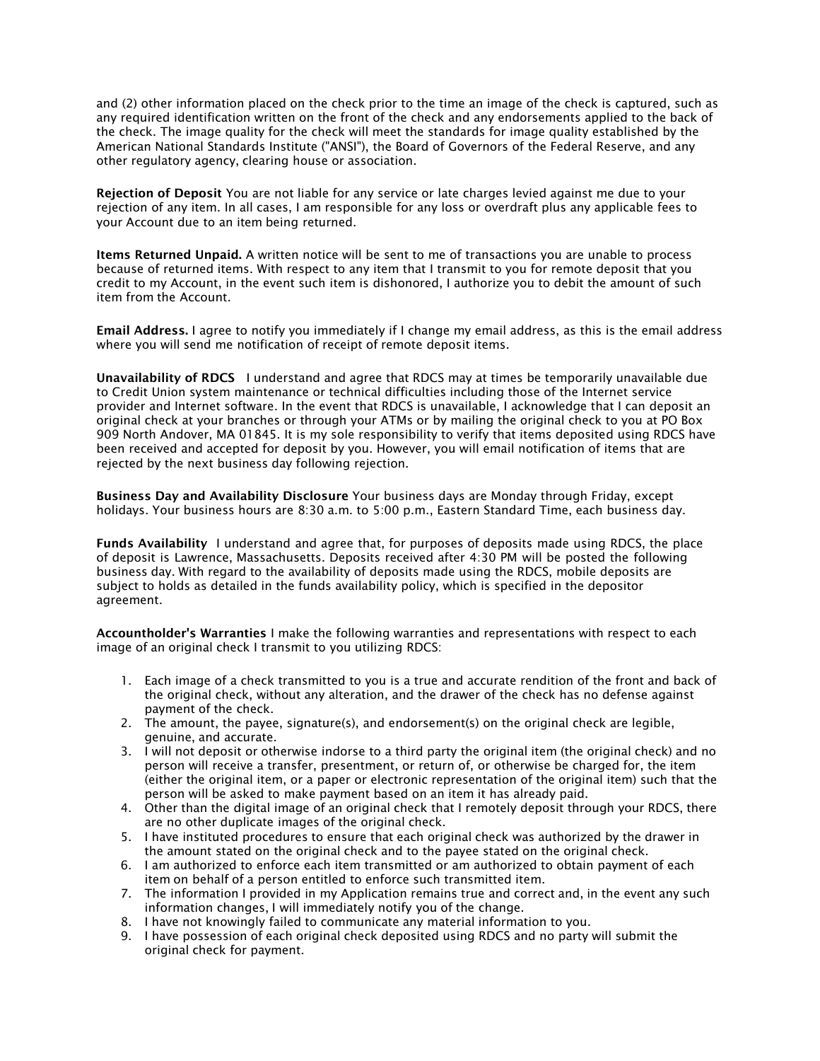and (2) other information placed on the check prior to the time an image of the check is captured, such as any required identification written on the front of the check and any endorsements applied to the back of the check. The image quality for the check will meet the standards for image quality established by the American National Standards Institute ("ANSI"), the Board of Governors of the Federal Reserve, and any other regulatory agency, clearing house or association.

Rejection of Deposit You are not liable for any service or late charges levied against me due to your rejection of any item. In all cases, I am responsible for any loss or overdraft plus any applicable fees to your Account due to an item being returned.

Items Returned Unpaid. A written notice will be sent to me of transactions you are unable to process because of returned items. With respect to any item that I transmit to you for remote deposit that you credit to my Account, in the event such item is dishonored, I authorize you to debit the amount of such item from the Account.

Email Address. I agree to notify you immediately if I change my email address, as this is the email address where you will send me notification of receipt of remote deposit items.

Unavailability of RDCS I understand and agree that RDCS may at times be temporarily unavailable due to Credit Union system maintenance or technical difficulties including those of the Internet service provider and Internet software. In the event that RDCS is unavailable, I acknowledge that I can deposit an original check at your branches or through your ATMs or by mailing the original check to you at PO Box 909 North Andover, MA 01845. It is my sole responsibility to verify that items deposited using RDCS have been received and accepted for deposit by you. However, you will email notification of items that are rejected by the next business day following rejection.

Business Day and Availability Disclosure Your business days are Monday through Friday, except holidays. Your business hours are 8:30 a.m. to 5:00 p.m., Eastern Standard Time, each business day.

Funds Availability I understand and agree that, for purposes of deposits made using RDCS, the place of deposit is Lawrence, Massachusetts. Deposits received after 4:30 PM will be posted the following business day. With regard to the availability of deposits made using the RDCS, mobile deposits are subject to holds as detailed in the funds availability policy, which is specified in the depositor agreement.

Accountholder's Warranties I make the following warranties and representations with respect to each image of an original check I transmit to you utilizing RDCS:

- 1. Each image of a check transmitted to you is a true and accurate rendition of the front and back of the original check, without any alteration, and the drawer of the check has no defense against payment of the check.
- 2. The amount, the payee, signature(s), and endorsement(s) on the original check are legible, genuine, and accurate.
- 3. I will not deposit or otherwise indorse to a third party the original item (the original check) and no person will receive a transfer, presentment, or return of, or otherwise be charged for, the item (either the original item, or a paper or electronic representation of the original item) such that the person will be asked to make payment based on an item it has already paid.
- 4. Other than the digital image of an original check that I remotely deposit through your RDCS, there are no other duplicate images of the original check.
- 5. I have instituted procedures to ensure that each original check was authorized by the drawer in the amount stated on the original check and to the payee stated on the original check.
- 6. I am authorized to enforce each item transmitted or am authorized to obtain payment of each item on behalf of a person entitled to enforce such transmitted item.
- 7. The information I provided in my Application remains true and correct and, in the event any such information changes, I will immediately notify you of the change.
- 8. I have not knowingly failed to communicate any material information to you.
- 9. I have possession of each original check deposited using RDCS and no party will submit the original check for payment.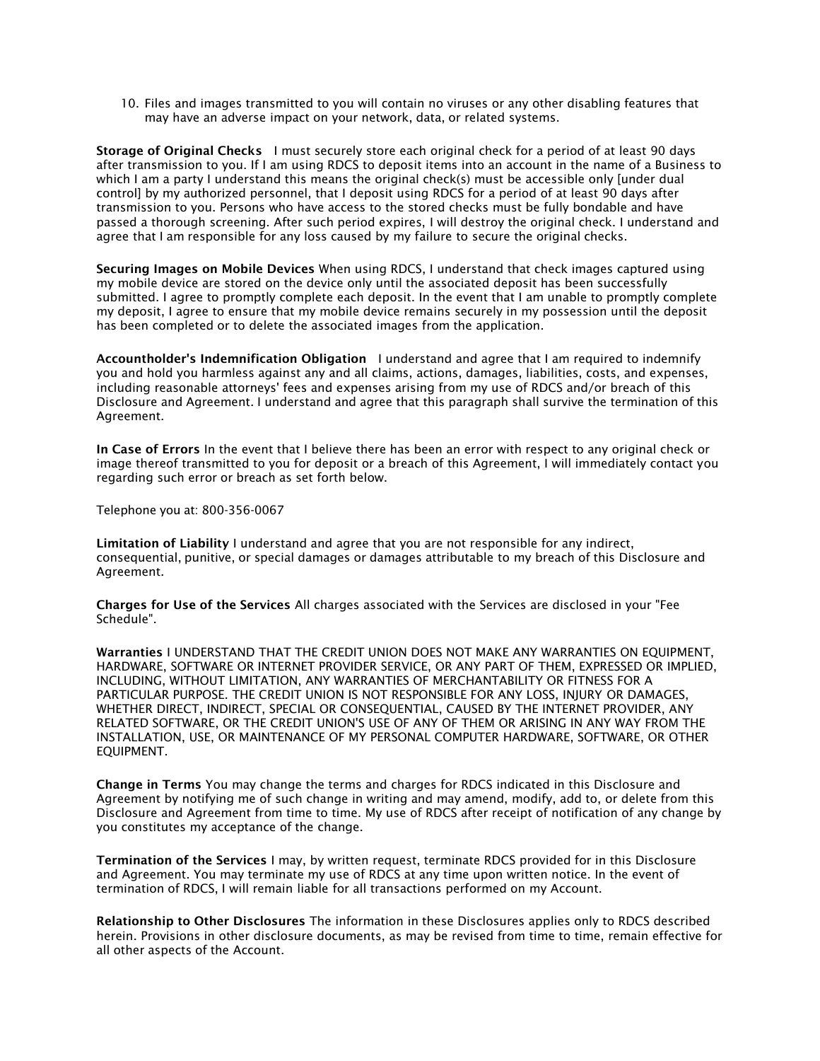10. Files and images transmitted to you will contain no viruses or any other disabling features that may have an adverse impact on your network, data, or related systems.

Storage of Original Checks I must securely store each original check for a period of at least 90 days after transmission to you. If I am using RDCS to deposit items into an account in the name of a Business to which I am a party I understand this means the original check(s) must be accessible only [under dual control] by my authorized personnel, that I deposit using RDCS for a period of at least 90 days after transmission to you. Persons who have access to the stored checks must be fully bondable and have passed a thorough screening. After such period expires, I will destroy the original check. I understand and agree that I am responsible for any loss caused by my failure to secure the original checks.

Securing Images on Mobile Devices When using RDCS, I understand that check images captured using my mobile device are stored on the device only until the associated deposit has been successfully submitted. I agree to promptly complete each deposit. In the event that I am unable to promptly complete my deposit, I agree to ensure that my mobile device remains securely in my possession until the deposit has been completed or to delete the associated images from the application.

Accountholder's Indemnification Obligation I understand and agree that I am required to indemnify you and hold you harmless against any and all claims, actions, damages, liabilities, costs, and expenses, including reasonable attorneys' fees and expenses arising from my use of RDCS and/or breach of this Disclosure and Agreement. I understand and agree that this paragraph shall survive the termination of this Agreement.

In Case of Errors In the event that I believe there has been an error with respect to any original check or image thereof transmitted to you for deposit or a breach of this Agreement, I will immediately contact you regarding such error or breach as set forth below.

Telephone you at: 800-356-0067

Limitation of Liability I understand and agree that you are not responsible for any indirect, consequential, punitive, or special damages or damages attributable to my breach of this Disclosure and Agreement.

Charges for Use of the Services All charges associated with the Services are disclosed in your "Fee Schedule".

Warranties I UNDERSTAND THAT THE CREDIT UNION DOES NOT MAKE ANY WARRANTIES ON EQUIPMENT, HARDWARE, SOFTWARE OR INTERNET PROVIDER SERVICE, OR ANY PART OF THEM, EXPRESSED OR IMPLIED, INCLUDING, WITHOUT LIMITATION, ANY WARRANTIES OF MERCHANTABILITY OR FITNESS FOR A PARTICULAR PURPOSE. THE CREDIT UNION IS NOT RESPONSIBLE FOR ANY LOSS, INJURY OR DAMAGES, WHETHER DIRECT, INDIRECT, SPECIAL OR CONSEQUENTIAL, CAUSED BY THE INTERNET PROVIDER, ANY RELATED SOFTWARE, OR THE CREDIT UNION'S USE OF ANY OF THEM OR ARISING IN ANY WAY FROM THE INSTALLATION, USE, OR MAINTENANCE OF MY PERSONAL COMPUTER HARDWARE, SOFTWARE, OR OTHER EQUIPMENT.

Change in Terms You may change the terms and charges for RDCS indicated in this Disclosure and Agreement by notifying me of such change in writing and may amend, modify, add to, or delete from this Disclosure and Agreement from time to time. My use of RDCS after receipt of notification of any change by you constitutes my acceptance of the change.

Termination of the Services I may, by written request, terminate RDCS provided for in this Disclosure and Agreement. You may terminate my use of RDCS at any time upon written notice. In the event of termination of RDCS, I will remain liable for all transactions performed on my Account.

Relationship to Other Disclosures The information in these Disclosures applies only to RDCS described herein. Provisions in other disclosure documents, as may be revised from time to time, remain effective for all other aspects of the Account.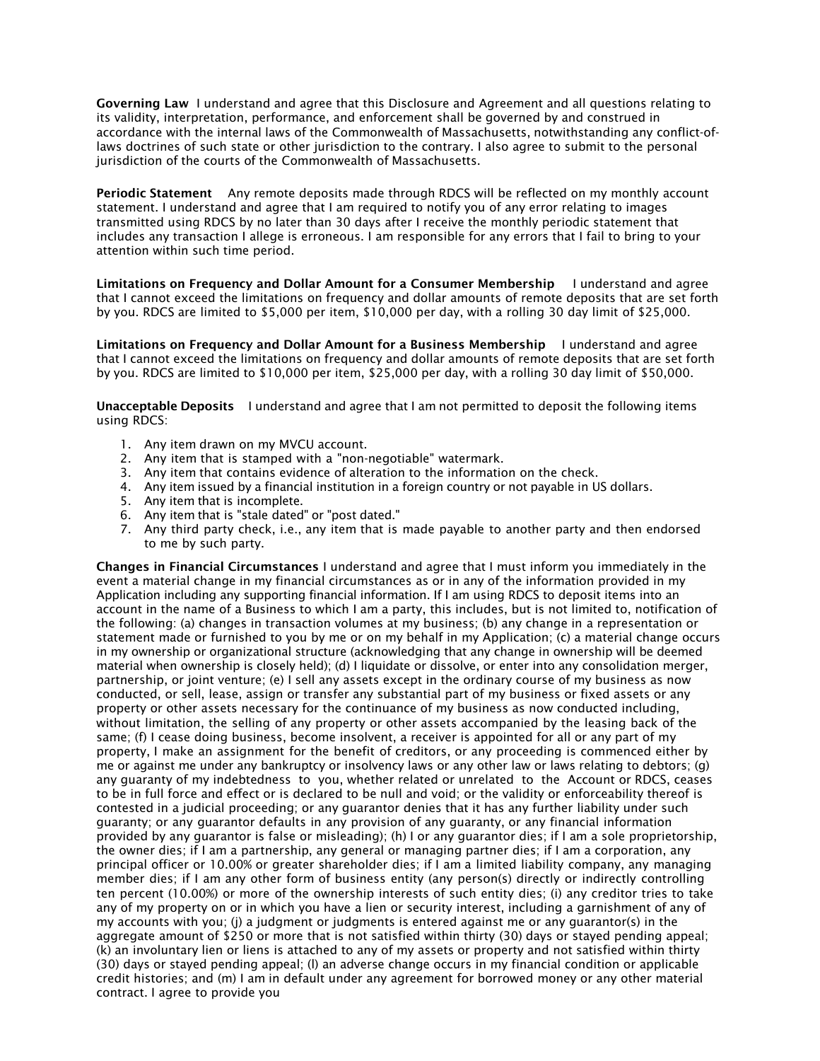Governing Law I understand and agree that this Disclosure and Agreement and all questions relating to its validity, interpretation, performance, and enforcement shall be governed by and construed in accordance with the internal laws of the Commonwealth of Massachusetts, notwithstanding any conflict-oflaws doctrines of such state or other jurisdiction to the contrary. I also agree to submit to the personal jurisdiction of the courts of the Commonwealth of Massachusetts.

Periodic Statement Any remote deposits made through RDCS will be reflected on my monthly account statement. I understand and agree that I am required to notify you of any error relating to images transmitted using RDCS by no later than 30 days after I receive the monthly periodic statement that includes any transaction I allege is erroneous. I am responsible for any errors that I fail to bring to your attention within such time period.

Limitations on Frequency and Dollar Amount for a Consumer Membership I understand and agree that I cannot exceed the limitations on frequency and dollar amounts of remote deposits that are set forth by you. RDCS are limited to \$5,000 per item, \$10,000 per day, with a rolling 30 day limit of \$25,000.

Limitations on Frequency and Dollar Amount for a Business Membership I understand and agree that I cannot exceed the limitations on frequency and dollar amounts of remote deposits that are set forth by you. RDCS are limited to \$10,000 per item, \$25,000 per day, with a rolling 30 day limit of \$50,000.

Unacceptable Deposits I understand and agree that I am not permitted to deposit the following items using RDCS:

- 1. Any item drawn on my MVCU account.
- 2. Any item that is stamped with a "non-negotiable" watermark.
- 3. Any item that contains evidence of alteration to the information on the check.
- 4. Any item issued by a financial institution in a foreign country or not payable in US dollars.
- 5. Any item that is incomplete.
- 6. Any item that is "stale dated" or "post dated."
- 7. Any third party check, i.e., any item that is made payable to another party and then endorsed to me by such party.

Changes in Financial Circumstances I understand and agree that I must inform you immediately in the event a material change in my financial circumstances as or in any of the information provided in my Application including any supporting financial information. If I am using RDCS to deposit items into an account in the name of a Business to which I am a party, this includes, but is not limited to, notification of the following: (a) changes in transaction volumes at my business; (b) any change in a representation or statement made or furnished to you by me or on my behalf in my Application; (c) a material change occurs in my ownership or organizational structure (acknowledging that any change in ownership will be deemed material when ownership is closely held); (d) I liquidate or dissolve, or enter into any consolidation merger, partnership, or joint venture; (e) I sell any assets except in the ordinary course of my business as now conducted, or sell, lease, assign or transfer any substantial part of my business or fixed assets or any property or other assets necessary for the continuance of my business as now conducted including, without limitation, the selling of any property or other assets accompanied by the leasing back of the same; (f) I cease doing business, become insolvent, a receiver is appointed for all or any part of my property, I make an assignment for the benefit of creditors, or any proceeding is commenced either by me or against me under any bankruptcy or insolvency laws or any other law or laws relating to debtors; (g) any guaranty of my indebtedness to you, whether related or unrelated to the Account or RDCS, ceases to be in full force and effect or is declared to be null and void; or the validity or enforceability thereof is contested in a judicial proceeding; or any guarantor denies that it has any further liability under such guaranty; or any guarantor defaults in any provision of any guaranty, or any financial information provided by any guarantor is false or misleading); (h) I or any guarantor dies; if I am a sole proprietorship, the owner dies; if I am a partnership, any general or managing partner dies; if I am a corporation, any principal officer or 10.00% or greater shareholder dies; if I am a limited liability company, any managing member dies; if I am any other form of business entity (any person(s) directly or indirectly controlling ten percent (10.00%) or more of the ownership interests of such entity dies; (i) any creditor tries to take any of my property on or in which you have a lien or security interest, including a garnishment of any of my accounts with you; (j) a judgment or judgments is entered against me or any guarantor(s) in the aggregate amount of \$250 or more that is not satisfied within thirty (30) days or stayed pending appeal; (k) an involuntary lien or liens is attached to any of my assets or property and not satisfied within thirty (30) days or stayed pending appeal; (l) an adverse change occurs in my financial condition or applicable credit histories; and (m) I am in default under any agreement for borrowed money or any other material contract. I agree to provide you